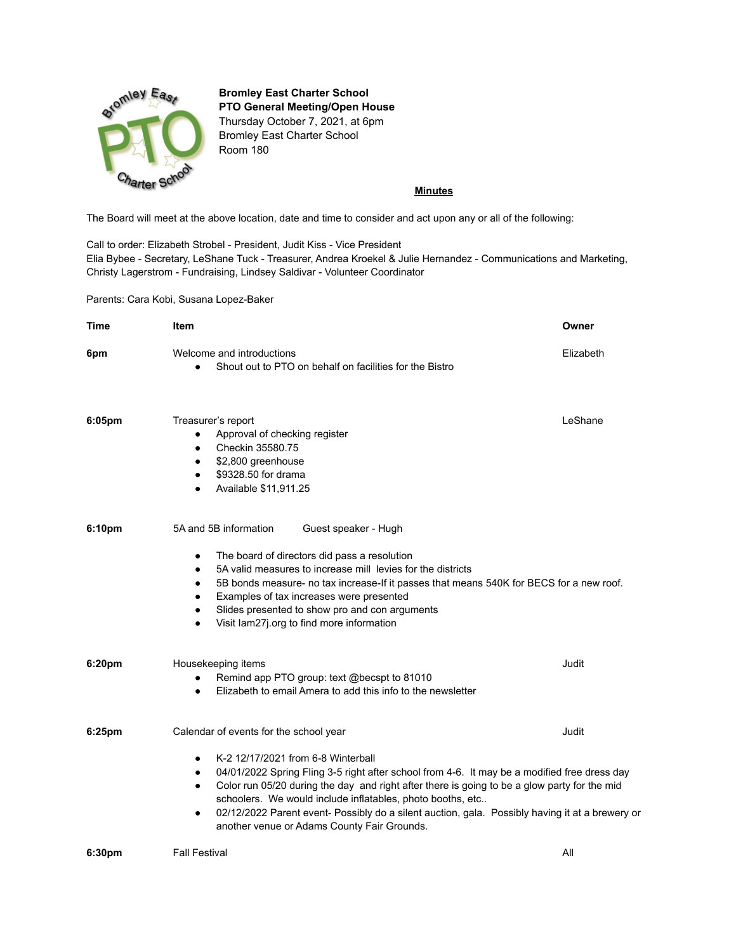

## **Bromley East Charter School PTO General Meeting/Open House**

Thursday October 7, 2021, at 6pm Bromley East Charter School Room 180

## **Minutes**

The Board will meet at the above location, date and time to consider and act upon any or all of the following:

Call to order: Elizabeth Strobel - President, Judit Kiss - Vice President Elia Bybee - Secretary, LeShane Tuck - Treasurer, Andrea Kroekel & Julie Hernandez - Communications and Marketing, Christy Lagerstrom - Fundraising, Lindsey Saldivar - Volunteer Coordinator

Parents: Cara Kobi, Susana Lopez-Baker

| <b>Time</b>        | <b>Item</b>                                                                                                                                                                                                                                                                                                                                                                                                                                                                                                                              | Owner     |
|--------------------|------------------------------------------------------------------------------------------------------------------------------------------------------------------------------------------------------------------------------------------------------------------------------------------------------------------------------------------------------------------------------------------------------------------------------------------------------------------------------------------------------------------------------------------|-----------|
| 6pm                | Welcome and introductions<br>Shout out to PTO on behalf on facilities for the Bistro<br>$\bullet$                                                                                                                                                                                                                                                                                                                                                                                                                                        | Elizabeth |
| 6:05 <sub>pm</sub> | Treasurer's report<br>Approval of checking register<br>$\bullet$<br>Checkin 35580.75<br>$\bullet$<br>\$2,800 greenhouse<br>$\bullet$<br>\$9328.50 for drama<br>$\bullet$<br>Available \$11,911.25<br>$\bullet$                                                                                                                                                                                                                                                                                                                           | LeShane   |
| 6:10pm             | 5A and 5B information<br>Guest speaker - Hugh<br>The board of directors did pass a resolution<br>$\bullet$<br>5A valid measures to increase mill levies for the districts<br>$\bullet$<br>5B bonds measure- no tax increase-If it passes that means 540K for BECS for a new roof.<br>$\bullet$<br>Examples of tax increases were presented<br>$\bullet$<br>Slides presented to show pro and con arguments<br>$\bullet$<br>Visit lam27j.org to find more information<br>$\bullet$                                                         |           |
| 6:20pm             | Housekeeping items<br>Remind app PTO group: text @becspt to 81010<br>$\bullet$<br>Elizabeth to email Amera to add this info to the newsletter<br>$\bullet$                                                                                                                                                                                                                                                                                                                                                                               | Judit     |
| 6:25pm             | Calendar of events for the school year<br>K-2 12/17/2021 from 6-8 Winterball<br>٠<br>04/01/2022 Spring Fling 3-5 right after school from 4-6. It may be a modified free dress day<br>$\bullet$<br>Color run 05/20 during the day and right after there is going to be a glow party for the mid<br>$\bullet$<br>schoolers. We would include inflatables, photo booths, etc<br>02/12/2022 Parent event- Possibly do a silent auction, gala. Possibly having it at a brewery or<br>$\bullet$<br>another venue or Adams County Fair Grounds. | Judit     |
| 6:30pm             | <b>Fall Festival</b>                                                                                                                                                                                                                                                                                                                                                                                                                                                                                                                     | All       |